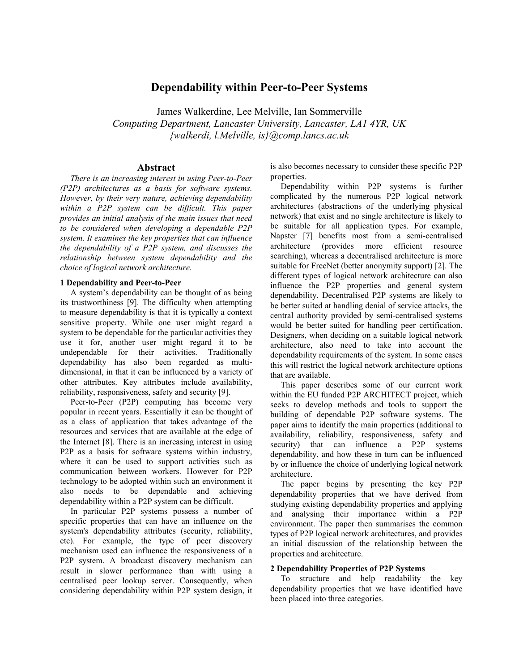# **Dependability within Peer-to-Peer Systems**

James Walkerdine, Lee Melville, Ian Sommerville *Computing Department, Lancaster University, Lancaster, LA1 4YR, UK {walkerdi, l.Melville, is}@comp.lancs.ac.uk* 

### **Abstract**

*There is an increasing interest in using Peer-to-Peer (P2P) architectures as a basis for software systems. However, by their very nature, achieving dependability within a P2P system can be difficult. This paper provides an initial analysis of the main issues that need to be considered when developing a dependable P2P system. It examines the key properties that can influence the dependability of a P2P system, and discusses the relationship between system dependability and the choice of logical network architecture.*

#### **1 Dependability and Peer-to-Peer**

A system's dependability can be thought of as being its trustworthiness [9]. The difficulty when attempting to measure dependability is that it is typically a context sensitive property. While one user might regard a system to be dependable for the particular activities they use it for, another user might regard it to be undependable for their activities. Traditionally dependability has also been regarded as multidimensional, in that it can be influenced by a variety of other attributes. Key attributes include availability, reliability, responsiveness, safety and security [9].

Peer-to-Peer (P2P) computing has become very popular in recent years. Essentially it can be thought of as a class of application that takes advantage of the resources and services that are available at the edge of the Internet [8]. There is an increasing interest in using P2P as a basis for software systems within industry, where it can be used to support activities such as communication between workers. However for P2P technology to be adopted within such an environment it also needs to be dependable and achieving dependability within a P2P system can be difficult.

In particular P2P systems possess a number of specific properties that can have an influence on the system's dependability attributes (security, reliability, etc). For example, the type of peer discovery mechanism used can influence the responsiveness of a P2P system. A broadcast discovery mechanism can result in slower performance than with using a centralised peer lookup server. Consequently, when considering dependability within P2P system design, it

is also becomes necessary to consider these specific P2P properties.

Dependability within P2P systems is further complicated by the numerous P2P logical network architectures (abstractions of the underlying physical network) that exist and no single architecture is likely to be suitable for all application types. For example, Napster [7] benefits most from a semi-centralised architecture (provides more efficient resource searching), whereas a decentralised architecture is more suitable for FreeNet (better anonymity support) [2]. The different types of logical network architecture can also influence the P2P properties and general system dependability. Decentralised P2P systems are likely to be better suited at handling denial of service attacks, the central authority provided by semi-centralised systems would be better suited for handling peer certification. Designers, when deciding on a suitable logical network architecture, also need to take into account the dependability requirements of the system. In some cases this will restrict the logical network architecture options that are available.

This paper describes some of our current work within the EU funded P2P ARCHITECT project, which seeks to develop methods and tools to support the building of dependable P2P software systems. The paper aims to identify the main properties (additional to availability, reliability, responsiveness, safety and security) that can influence a P2P systems dependability, and how these in turn can be influenced by or influence the choice of underlying logical network architecture.

The paper begins by presenting the key P2P dependability properties that we have derived from studying existing dependability properties and applying and analysing their importance within a P2P environment. The paper then summarises the common types of P2P logical network architectures, and provides an initial discussion of the relationship between the properties and architecture.

#### **2 Dependability Properties of P2P Systems**

To structure and help readability the key dependability properties that we have identified have been placed into three categories.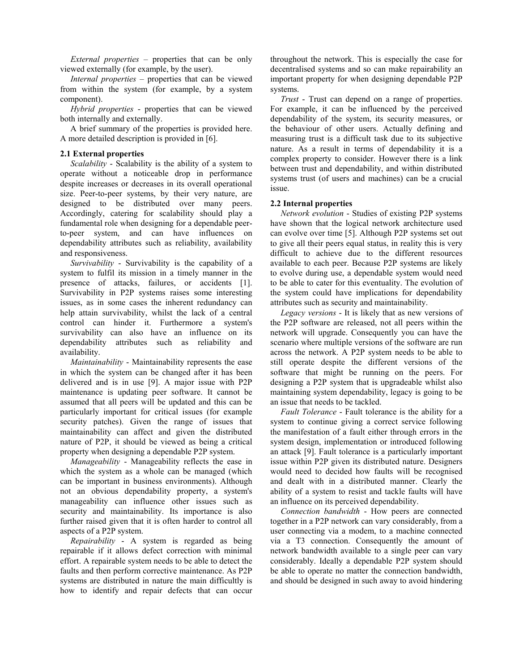*External properties* – properties that can be only viewed externally (for example, by the user).

*Internal properties* – properties that can be viewed from within the system (for example, by a system component).

*Hybrid properties* - properties that can be viewed both internally and externally.

A brief summary of the properties is provided here. A more detailed description is provided in [6].

## **2.1 External properties**

*Scalability* - Scalability is the ability of a system to operate without a noticeable drop in performance despite increases or decreases in its overall operational size. Peer-to-peer systems, by their very nature, are designed to be distributed over many peers. Accordingly, catering for scalability should play a fundamental role when designing for a dependable peerto-peer system, and can have influences on dependability attributes such as reliability, availability and responsiveness.

*Survivability* - Survivability is the capability of a system to fulfil its mission in a timely manner in the presence of attacks, failures, or accidents [1]. Survivability in P2P systems raises some interesting issues, as in some cases the inherent redundancy can help attain survivability, whilst the lack of a central control can hinder it. Furthermore a system's survivability can also have an influence on its dependability attributes such as reliability and availability.

*Maintainability* - Maintainability represents the ease in which the system can be changed after it has been delivered and is in use [9]. A major issue with P2P maintenance is updating peer software. It cannot be assumed that all peers will be updated and this can be particularly important for critical issues (for example security patches). Given the range of issues that maintainability can affect and given the distributed nature of P2P, it should be viewed as being a critical property when designing a dependable P2P system.

*Manageability* - Manageability reflects the ease in which the system as a whole can be managed (which can be important in business environments). Although not an obvious dependability property, a system's manageability can influence other issues such as security and maintainability. Its importance is also further raised given that it is often harder to control all aspects of a P2P system.

*Repairability* - A system is regarded as being repairable if it allows defect correction with minimal effort. A repairable system needs to be able to detect the faults and then perform corrective maintenance. As P2P systems are distributed in nature the main difficultly is how to identify and repair defects that can occur throughout the network. This is especially the case for decentralised systems and so can make repairability an important property for when designing dependable P2P systems.

*Trust* - Trust can depend on a range of properties. For example, it can be influenced by the perceived dependability of the system, its security measures, or the behaviour of other users. Actually defining and measuring trust is a difficult task due to its subjective nature. As a result in terms of dependability it is a complex property to consider. However there is a link between trust and dependability, and within distributed systems trust (of users and machines) can be a crucial issue.

### **2.2 Internal properties**

*Network evolution* - Studies of existing P2P systems have shown that the logical network architecture used can evolve over time [5]. Although P2P systems set out to give all their peers equal status, in reality this is very difficult to achieve due to the different resources available to each peer. Because P2P systems are likely to evolve during use, a dependable system would need to be able to cater for this eventuality. The evolution of the system could have implications for dependability attributes such as security and maintainability.

*Legacy versions* - It is likely that as new versions of the P2P software are released, not all peers within the network will upgrade. Consequently you can have the scenario where multiple versions of the software are run across the network. A P2P system needs to be able to still operate despite the different versions of the software that might be running on the peers. For designing a P2P system that is upgradeable whilst also maintaining system dependability, legacy is going to be an issue that needs to be tackled.

*Fault Tolerance* - Fault tolerance is the ability for a system to continue giving a correct service following the manifestation of a fault either through errors in the system design, implementation or introduced following an attack [9]. Fault tolerance is a particularly important issue within P2P given its distributed nature. Designers would need to decided how faults will be recognised and dealt with in a distributed manner. Clearly the ability of a system to resist and tackle faults will have an influence on its perceived dependability.

*Connection bandwidth* - How peers are connected together in a P2P network can vary considerably, from a user connecting via a modem, to a machine connected via a T3 connection. Consequently the amount of network bandwidth available to a single peer can vary considerably. Ideally a dependable P2P system should be able to operate no matter the connection bandwidth, and should be designed in such away to avoid hindering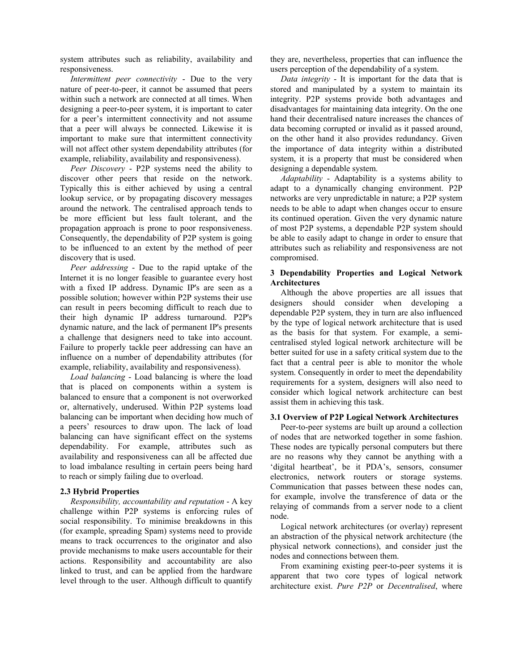system attributes such as reliability, availability and responsiveness.

*Intermittent peer connectivity* - Due to the very nature of peer-to-peer, it cannot be assumed that peers within such a network are connected at all times. When designing a peer-to-peer system, it is important to cater for a peer's intermittent connectivity and not assume that a peer will always be connected. Likewise it is important to make sure that intermittent connectivity will not affect other system dependability attributes (for example, reliability, availability and responsiveness).

*Peer Discovery* - P2P systems need the ability to discover other peers that reside on the network. Typically this is either achieved by using a central lookup service, or by propagating discovery messages around the network. The centralised approach tends to be more efficient but less fault tolerant, and the propagation approach is prone to poor responsiveness. Consequently, the dependability of P2P system is going to be influenced to an extent by the method of peer discovery that is used.

*Peer addressing* - Due to the rapid uptake of the Internet it is no longer feasible to guarantee every host with a fixed IP address. Dynamic IP's are seen as a possible solution; however within P2P systems their use can result in peers becoming difficult to reach due to their high dynamic IP address turnaround. P2P's dynamic nature, and the lack of permanent IP's presents a challenge that designers need to take into account. Failure to properly tackle peer addressing can have an influence on a number of dependability attributes (for example, reliability, availability and responsiveness).

*Load balancing* - Load balancing is where the load that is placed on components within a system is balanced to ensure that a component is not overworked or, alternatively, underused. Within P2P systems load balancing can be important when deciding how much of a peers' resources to draw upon. The lack of load balancing can have significant effect on the systems dependability. For example, attributes such as availability and responsiveness can all be affected due to load imbalance resulting in certain peers being hard to reach or simply failing due to overload.

### **2.3 Hybrid Properties**

*Responsibility, accountability and reputation* - A key challenge within P2P systems is enforcing rules of social responsibility. To minimise breakdowns in this (for example, spreading Spam) systems need to provide means to track occurrences to the originator and also provide mechanisms to make users accountable for their actions. Responsibility and accountability are also linked to trust, and can be applied from the hardware level through to the user. Although difficult to quantify they are, nevertheless, properties that can influence the users perception of the dependability of a system.

*Data integrity* - It is important for the data that is stored and manipulated by a system to maintain its integrity. P2P systems provide both advantages and disadvantages for maintaining data integrity. On the one hand their decentralised nature increases the chances of data becoming corrupted or invalid as it passed around, on the other hand it also provides redundancy. Given the importance of data integrity within a distributed system, it is a property that must be considered when designing a dependable system.

*Adaptability* - Adaptability is a systems ability to adapt to a dynamically changing environment. P2P networks are very unpredictable in nature; a P2P system needs to be able to adapt when changes occur to ensure its continued operation. Given the very dynamic nature of most P2P systems, a dependable P2P system should be able to easily adapt to change in order to ensure that attributes such as reliability and responsiveness are not compromised.

# **3 Dependability Properties and Logical Network Architectures**

Although the above properties are all issues that designers should consider when developing a dependable P2P system, they in turn are also influenced by the type of logical network architecture that is used as the basis for that system. For example, a semicentralised styled logical network architecture will be better suited for use in a safety critical system due to the fact that a central peer is able to monitor the whole system. Consequently in order to meet the dependability requirements for a system, designers will also need to consider which logical network architecture can best assist them in achieving this task.

# **3.1 Overview of P2P Logical Network Architectures**

Peer-to-peer systems are built up around a collection of nodes that are networked together in some fashion. These nodes are typically personal computers but there are no reasons why they cannot be anything with a 'digital heartbeat', be it PDA's, sensors, consumer electronics, network routers or storage systems. Communication that passes between these nodes can, for example, involve the transference of data or the relaying of commands from a server node to a client node.

Logical network architectures (or overlay) represent an abstraction of the physical network architecture (the physical network connections), and consider just the nodes and connections between them.

From examining existing peer-to-peer systems it is apparent that two core types of logical network architecture exist. *Pure P2P* or *Decentralised*, where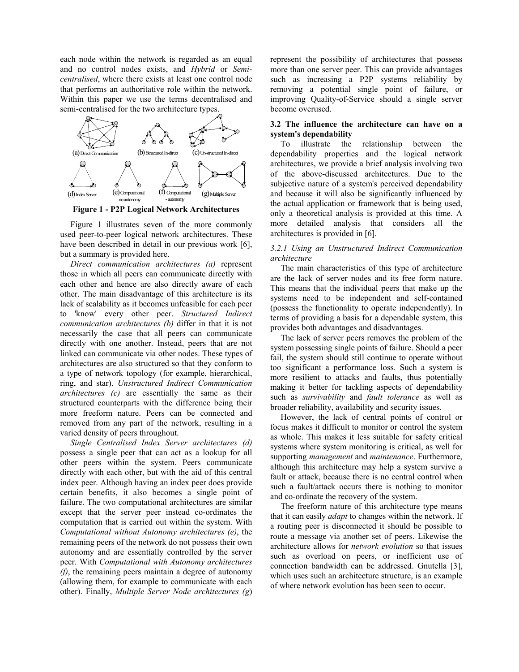each node within the network is regarded as an equal and no control nodes exists, and *Hybrid* or *Semicentralised*, where there exists at least one control node that performs an authoritative role within the network. Within this paper we use the terms decentralised and semi-centralised for the two architecture types.



**Figure 1 - P2P Logical Network Architectures** 

Figure 1 illustrates seven of the more commonly used peer-to-peer logical network architectures. These have been described in detail in our previous work [6], but a summary is provided here.

*Direct communication architectures (a)* represent those in which all peers can communicate directly with each other and hence are also directly aware of each other. The main disadvantage of this architecture is its lack of scalability as it becomes unfeasible for each peer to 'know' every other peer. *Structured Indirect communication architectures (b)* differ in that it is not necessarily the case that all peers can communicate directly with one another. Instead, peers that are not linked can communicate via other nodes. These types of architectures are also structured so that they conform to a type of network topology (for example, hierarchical, ring, and star). *Unstructured Indirect Communication architectures (c)* are essentially the same as their structured counterparts with the difference being their more freeform nature. Peers can be connected and removed from any part of the network, resulting in a varied density of peers throughout.

*Single Centralised Index Server architectures (d)* possess a single peer that can act as a lookup for all other peers within the system. Peers communicate directly with each other, but with the aid of this central index peer. Although having an index peer does provide certain benefits, it also becomes a single point of failure. The two computational architectures are similar except that the server peer instead co-ordinates the computation that is carried out within the system. With *Computational without Autonomy architectures (e)*, the remaining peers of the network do not possess their own autonomy and are essentially controlled by the server peer. With *Computational with Autonomy architectures (f)*, the remaining peers maintain a degree of autonomy (allowing them, for example to communicate with each other). Finally, *Multiple Server Node architectures (g*)

represent the possibility of architectures that possess more than one server peer. This can provide advantages such as increasing a P2P systems reliability by removing a potential single point of failure, or improving Quality-of-Service should a single server become overused.

### **3.2 The influence the architecture can have on a system's dependability**

To illustrate the relationship between the dependability properties and the logical network architectures, we provide a brief analysis involving two of the above-discussed architectures. Due to the subjective nature of a system's perceived dependability and because it will also be significantly influenced by the actual application or framework that is being used, only a theoretical analysis is provided at this time. A more detailed analysis that considers all the architectures is provided in [6].

#### *3.2.1 Using an Unstructured Indirect Communication architecture*

The main characteristics of this type of architecture are the lack of server nodes and its free form nature. This means that the individual peers that make up the systems need to be independent and self-contained (possess the functionality to operate independently). In terms of providing a basis for a dependable system, this provides both advantages and disadvantages.

The lack of server peers removes the problem of the system possessing single points of failure. Should a peer fail, the system should still continue to operate without too significant a performance loss. Such a system is more resilient to attacks and faults, thus potentially making it better for tackling aspects of dependability such as *survivability* and *fault tolerance* as well as broader reliability, availability and security issues.

However, the lack of central points of control or focus makes it difficult to monitor or control the system as whole. This makes it less suitable for safety critical systems where system monitoring is critical, as well for supporting *management* and *maintenance*. Furthermore, although this architecture may help a system survive a fault or attack, because there is no central control when such a fault/attack occurs there is nothing to monitor and co-ordinate the recovery of the system.

The freeform nature of this architecture type means that it can easily *adapt* to changes within the network. If a routing peer is disconnected it should be possible to route a message via another set of peers. Likewise the architecture allows for *network evolution* so that issues such as overload on peers, or inefficient use of connection bandwidth can be addressed. Gnutella [3], which uses such an architecture structure, is an example of where network evolution has been seen to occur.